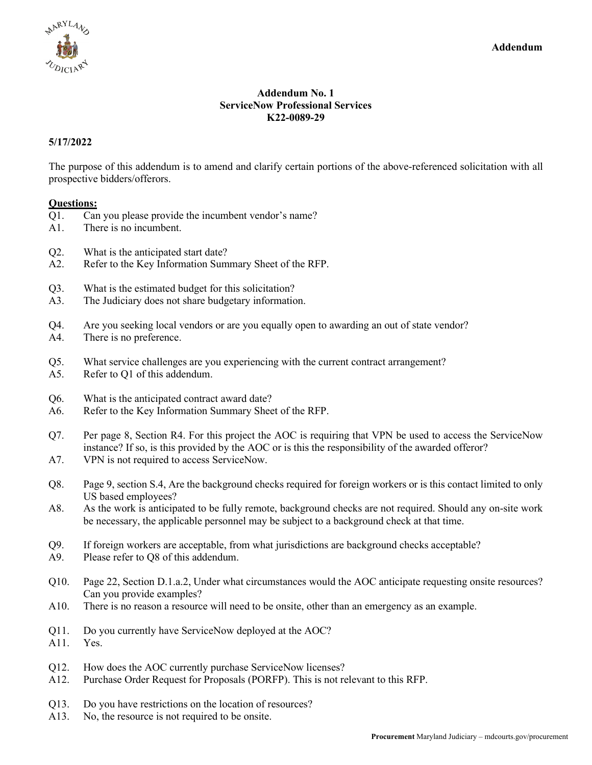

## **Addendum No. 1 ServiceNow Professional Services K22-0089-29**

## **5/17/2022**

The purpose of this addendum is to amend and clarify certain portions of the above-referenced solicitation with all prospective bidders/offerors.

## **Questions:**

- Q1. Can you please provide the incumbent vendor's name?
- A1. There is no incumbent.
- Q2. What is the anticipated start date?
- A2. Refer to the Key Information Summary Sheet of the RFP.
- Q3. What is the estimated budget for this solicitation?
- A3. The Judiciary does not share budgetary information.
- Q4. Are you seeking local vendors or are you equally open to awarding an out of state vendor?
- A4. There is no preference.
- Q5. What service challenges are you experiencing with the current contract arrangement?
- A5. Refer to Q1 of this addendum.
- Q6. What is the anticipated contract award date?
- A6. Refer to the Key Information Summary Sheet of the RFP.
- Q7. Per page 8, Section R4. For this project the AOC is requiring that VPN be used to access the ServiceNow instance? If so, is this provided by the AOC or is this the responsibility of the awarded offeror?
- A7. VPN is not required to access ServiceNow.
- Q8. Page 9, section S.4, Are the background checks required for foreign workers or is this contact limited to only US based employees?
- A8. As the work is anticipated to be fully remote, background checks are not required. Should any on-site work be necessary, the applicable personnel may be subject to a background check at that time.
- Q9. If foreign workers are acceptable, from what jurisdictions are background checks acceptable?
- A9. Please refer to Q8 of this addendum.
- Q10. Page 22, Section D.1.a.2, Under what circumstances would the AOC anticipate requesting onsite resources? Can you provide examples?
- A10. There is no reason a resource will need to be onsite, other than an emergency as an example.
- Q11. Do you currently have ServiceNow deployed at the AOC?
- A11. Yes.
- Q12. How does the AOC currently purchase ServiceNow licenses?
- A12. Purchase Order Request for Proposals (PORFP). This is not relevant to this RFP.
- Q13. Do you have restrictions on the location of resources?
- A13. No, the resource is not required to be onsite.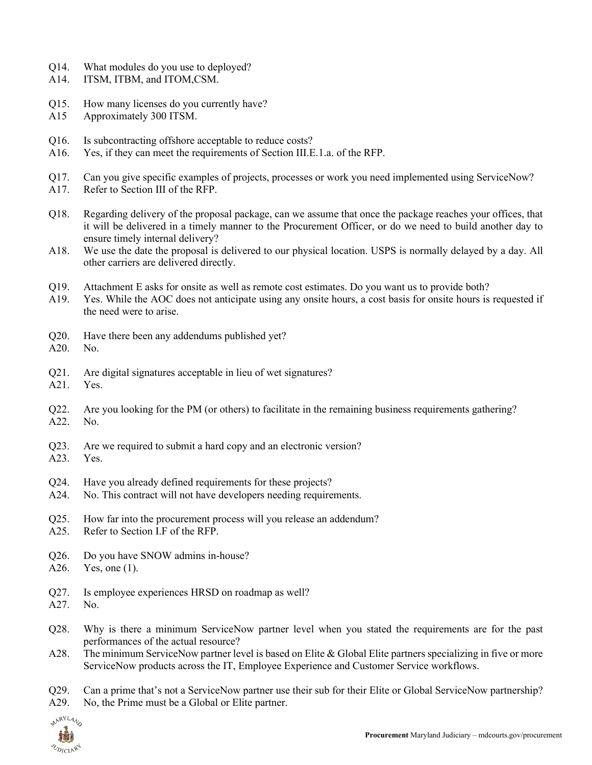- Q14. What modules do you use to deployed?
- A14. ITSM, ITBM, and ITOM,CSM.
- Q15. How many licenses do you currently have?
- A15 Approximately 300 ITSM.
- Q16. Is subcontracting offshore acceptable to reduce costs?
- A16. Yes, if they can meet the requirements of Section III.E.1.a. of the RFP.
- Q17. Can you give specific examples of projects, processes or work you need implemented using ServiceNow?
- A17. Refer to Section III of the RFP.
- Q18. Regarding delivery of the proposal package, can we assume that once the package reaches your offices, that it will be delivered in a timely manner to the Procurement Officer, or do we need to build another day to ensure timely internal delivery?
- A18. We use the date the proposal is delivered to our physical location. USPS is normally delayed by a day. All other carriers are delivered directly.
- Q19. Attachment E asks for onsite as well as remote cost estimates. Do you want us to provide both?
- A19. Yes. While the AOC does not anticipate using any onsite hours, a cost basis for onsite hours is requested if the need were to arise.
- Q20. Have there been any addendums published yet?
- A20. No.
- Q21. Are digital signatures acceptable in lieu of wet signatures?
- A21. Yes.
- Q22. Are you looking for the PM (or others) to facilitate in the remaining business requirements gathering? A22. No.
- Q23. Are we required to submit a hard copy and an electronic version?
- A23. Yes.
- Q24. Have you already defined requirements for these projects?
- A24. No. This contract will not have developers needing requirements.
- Q25. How far into the procurement process will you release an addendum?
- A25. Refer to Section I.F of the RFP.
- Q26. Do you have SNOW admins in-house?
- A26. Yes, one (1).
- Q27. Is employee experiences HRSD on roadmap as well?
- A27. No.
- Q28. Why is there a minimum ServiceNow partner level when you stated the requirements are for the past performances of the actual resource?
- A28. The minimum ServiceNow partner level is based on Elite & Global Elite partners specializing in five or more ServiceNow products across the IT, Employee Experience and Customer Service workflows.

Q29. Can a prime that's not a ServiceNow partner use their sub for their Elite or Global ServiceNow partnership?

A29. No, the Prime must be a Global or Elite partner.

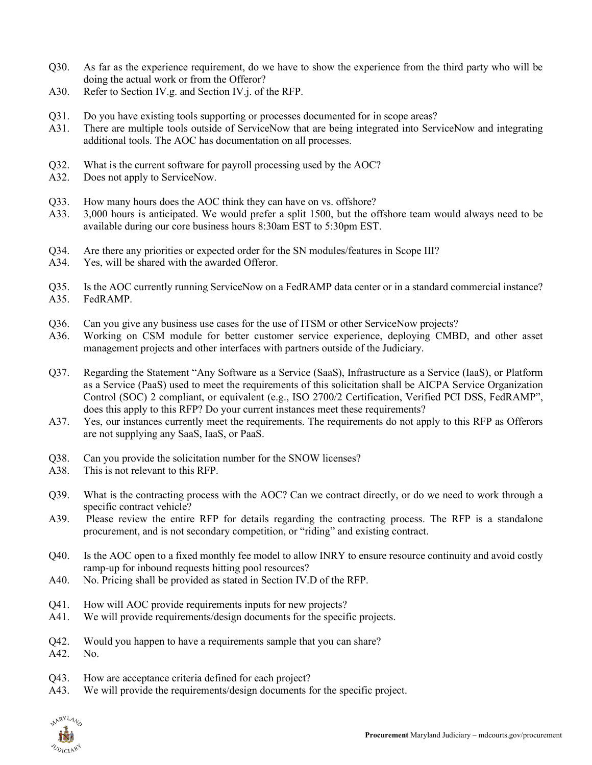- Q30. As far as the experience requirement, do we have to show the experience from the third party who will be doing the actual work or from the Offeror?
- A30. Refer to Section IV.g. and Section IV.j. of the RFP.
- Q31. Do you have existing tools supporting or processes documented for in scope areas?
- A31. There are multiple tools outside of ServiceNow that are being integrated into ServiceNow and integrating additional tools. The AOC has documentation on all processes.
- Q32. What is the current software for payroll processing used by the AOC?
- A32. Does not apply to ServiceNow.
- Q33. How many hours does the AOC think they can have on vs. offshore?
- A33. 3,000 hours is anticipated. We would prefer a split 1500, but the offshore team would always need to be available during our core business hours 8:30am EST to 5:30pm EST.
- Q34. Are there any priorities or expected order for the SN modules/features in Scope III?
- A34. Yes, will be shared with the awarded Offeror.
- Q35. Is the AOC currently running ServiceNow on a FedRAMP data center or in a standard commercial instance? A35. FedRAMP.
- Q36. Can you give any business use cases for the use of ITSM or other ServiceNow projects?
- A36. Working on CSM module for better customer service experience, deploying CMBD, and other asset management projects and other interfaces with partners outside of the Judiciary.
- Q37. Regarding the Statement "Any Software as a Service (SaaS), Infrastructure as a Service (IaaS), or Platform as a Service (PaaS) used to meet the requirements of this solicitation shall be AICPA Service Organization Control (SOC) 2 compliant, or equivalent (e.g., ISO 2700/2 Certification, Verified PCI DSS, FedRAMP", does this apply to this RFP? Do your current instances meet these requirements?
- A37. Yes, our instances currently meet the requirements. The requirements do not apply to this RFP as Offerors are not supplying any SaaS, IaaS, or PaaS.
- Q38. Can you provide the solicitation number for the SNOW licenses?
- A38. This is not relevant to this RFP.
- Q39. What is the contracting process with the AOC? Can we contract directly, or do we need to work through a specific contract vehicle?
- A39. Please review the entire RFP for details regarding the contracting process. The RFP is a standalone procurement, and is not secondary competition, or "riding" and existing contract.
- Q40. Is the AOC open to a fixed monthly fee model to allow INRY to ensure resource continuity and avoid costly ramp-up for inbound requests hitting pool resources?
- A40. No. Pricing shall be provided as stated in Section IV.D of the RFP.
- Q41. How will AOC provide requirements inputs for new projects?
- A41. We will provide requirements/design documents for the specific projects.
- Q42. Would you happen to have a requirements sample that you can share?
- A42. No.
- Q43. How are acceptance criteria defined for each project?
- A43. We will provide the requirements/design documents for the specific project.